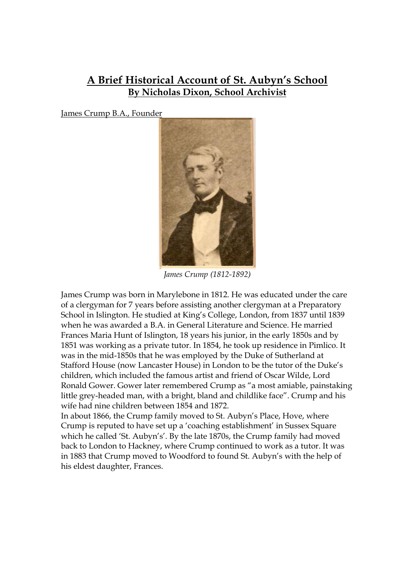## **A Brief Historical Account of St. Aubyn's School By Nicholas Dixon, School Archivist**

James Crump B.A., Founder



*James Crump (1812-1892)* 

James Crump was born in Marylebone in 1812. He was educated under the care of a clergyman for 7 years before assisting another clergyman at a Preparatory School in Islington. He studied at King's College, London, from 1837 until 1839 when he was awarded a B.A. in General Literature and Science. He married Frances Maria Hunt of Islington, 18 years his junior, in the early 1850s and by 1851 was working as a private tutor. In 1854, he took up residence in Pimlico. It was in the mid-1850s that he was employed by the Duke of Sutherland at Stafford House (now Lancaster House) in London to be the tutor of the Duke's children, which included the famous artist and friend of Oscar Wilde, Lord Ronald Gower. Gower later remembered Crump as "a most amiable, painstaking little grey-headed man, with a bright, bland and childlike face". Crump and his wife had nine children between 1854 and 1872.

In about 1866, the Crump family moved to St. Aubyn's Place, Hove, where Crump is reputed to have set up a 'coaching establishment' in Sussex Square which he called 'St. Aubyn's'. By the late 1870s, the Crump family had moved back to London to Hackney, where Crump continued to work as a tutor. It was in 1883 that Crump moved to Woodford to found St. Aubyn's with the help of his eldest daughter, Frances.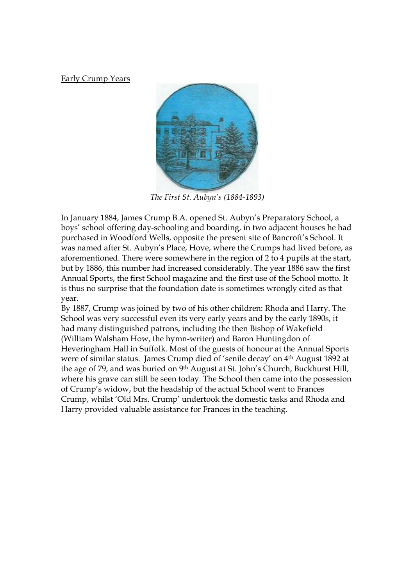Early Crump Years



*The First St. Aubyn's (1884-1893)* 

In January 1884, James Crump B.A. opened St. Aubyn's Preparatory School, a boys' school offering day-schooling and boarding, in two adjacent houses he had purchased in Woodford Wells, opposite the present site of Bancroft's School. It was named after St. Aubyn's Place, Hove, where the Crumps had lived before, as aforementioned. There were somewhere in the region of 2 to 4 pupils at the start, but by 1886, this number had increased considerably. The year 1886 saw the first Annual Sports, the first School magazine and the first use of the School motto. It is thus no surprise that the foundation date is sometimes wrongly cited as that year.

By 1887, Crump was joined by two of his other children: Rhoda and Harry. The School was very successful even its very early years and by the early 1890s, it had many distinguished patrons, including the then Bishop of Wakefield (William Walsham How, the hymn-writer) and Baron Huntingdon of Heveringham Hall in Suffolk. Most of the guests of honour at the Annual Sports were of similar status. James Crump died of 'senile decay' on 4th August 1892 at the age of 79, and was buried on 9th August at St. John's Church, Buckhurst Hill, where his grave can still be seen today. The School then came into the possession of Crump's widow, but the headship of the actual School went to Frances Crump, whilst 'Old Mrs. Crump' undertook the domestic tasks and Rhoda and Harry provided valuable assistance for Frances in the teaching.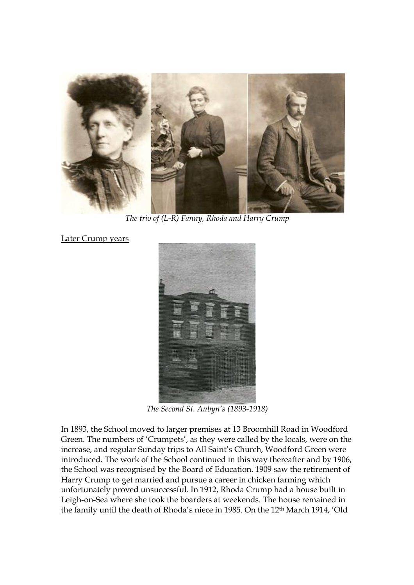

*The trio of (L-R) Fanny, Rhoda and Harry Crump* 

Later Crump years



*The Second St. Aubyn's (1893-1918)* 

In 1893, the School moved to larger premises at 13 Broomhill Road in Woodford Green. The numbers of 'Crumpets', as they were called by the locals, were on the increase, and regular Sunday trips to All Saint's Church, Woodford Green were introduced. The work of the School continued in this way thereafter and by 1906, the School was recognised by the Board of Education. 1909 saw the retirement of Harry Crump to get married and pursue a career in chicken farming which unfortunately proved unsuccessful. In 1912, Rhoda Crump had a house built in Leigh-on-Sea where she took the boarders at weekends. The house remained in the family until the death of Rhoda's niece in 1985. On the 12th March 1914, 'Old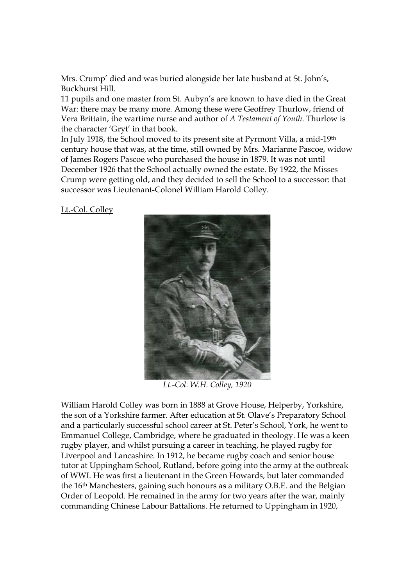Mrs. Crump' died and was buried alongside her late husband at St. John's, Buckhurst Hill.

11 pupils and one master from St. Aubyn's are known to have died in the Great War: there may be many more. Among these were Geoffrey Thurlow, friend of Vera Brittain, the wartime nurse and author of *A Testament of Youth*. Thurlow is the character 'Gryt' in that book.

In July 1918, the School moved to its present site at Pyrmont Villa, a mid-19th century house that was, at the time, still owned by Mrs. Marianne Pascoe, widow of James Rogers Pascoe who purchased the house in 1879. It was not until December 1926 that the School actually owned the estate. By 1922, the Misses Crump were getting old, and they decided to sell the School to a successor: that successor was Lieutenant-Colonel William Harold Colley.

Lt.-Col. Colley



*Lt.-Col. W.H. Colley, 1920* 

William Harold Colley was born in 1888 at Grove House, Helperby, Yorkshire, the son of a Yorkshire farmer. After education at St. Olave's Preparatory School and a particularly successful school career at St. Peter's School, York, he went to Emmanuel College, Cambridge, where he graduated in theology. He was a keen rugby player, and whilst pursuing a career in teaching, he played rugby for Liverpool and Lancashire. In 1912, he became rugby coach and senior house tutor at Uppingham School, Rutland, before going into the army at the outbreak of WWI. He was first a lieutenant in the Green Howards, but later commanded the 16th Manchesters, gaining such honours as a military O.B.E. and the Belgian Order of Leopold. He remained in the army for two years after the war, mainly commanding Chinese Labour Battalions. He returned to Uppingham in 1920,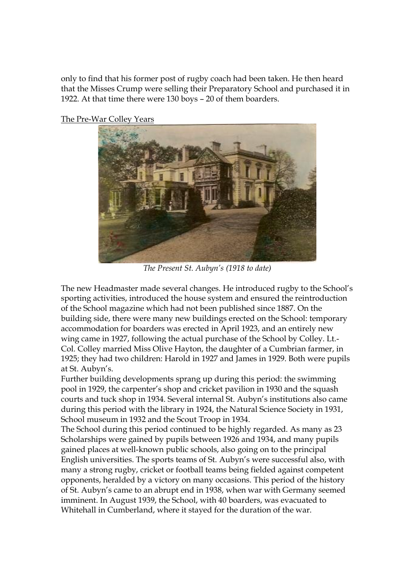only to find that his former post of rugby coach had been taken. He then heard that the Misses Crump were selling their Preparatory School and purchased it in 1922. At that time there were 130 boys – 20 of them boarders.



The Pre-War Colley Years

*The Present St. Aubyn's (1918 to date)* 

The new Headmaster made several changes. He introduced rugby to the School's sporting activities, introduced the house system and ensured the reintroduction of the School magazine which had not been published since 1887. On the building side, there were many new buildings erected on the School: temporary accommodation for boarders was erected in April 1923, and an entirely new wing came in 1927, following the actual purchase of the School by Colley. Lt.- Col. Colley married Miss Olive Hayton, the daughter of a Cumbrian farmer, in 1925; they had two children: Harold in 1927 and James in 1929. Both were pupils at St. Aubyn's.

Further building developments sprang up during this period: the swimming pool in 1929, the carpenter's shop and cricket pavilion in 1930 and the squash courts and tuck shop in 1934. Several internal St. Aubyn's institutions also came during this period with the library in 1924, the Natural Science Society in 1931, School museum in 1932 and the Scout Troop in 1934.

The School during this period continued to be highly regarded. As many as 23 Scholarships were gained by pupils between 1926 and 1934, and many pupils gained places at well-known public schools, also going on to the principal English universities. The sports teams of St. Aubyn's were successful also, with many a strong rugby, cricket or football teams being fielded against competent opponents, heralded by a victory on many occasions. This period of the history of St. Aubyn's came to an abrupt end in 1938, when war with Germany seemed imminent. In August 1939, the School, with 40 boarders, was evacuated to Whitehall in Cumberland, where it stayed for the duration of the war.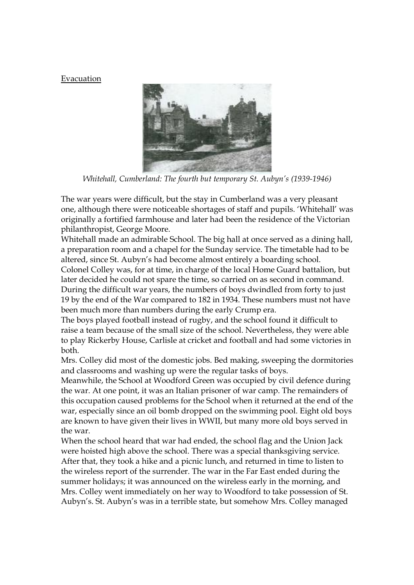## Evacuation



*Whitehall, Cumberland: The fourth but temporary St. Aubyn's (1939-1946)* 

The war years were difficult, but the stay in Cumberland was a very pleasant one, although there were noticeable shortages of staff and pupils. 'Whitehall' was originally a fortified farmhouse and later had been the residence of the Victorian philanthropist, George Moore.

Whitehall made an admirable School. The big hall at once served as a dining hall, a preparation room and a chapel for the Sunday service. The timetable had to be altered, since St. Aubyn's had become almost entirely a boarding school.

Colonel Colley was, for at time, in charge of the local Home Guard battalion, but later decided he could not spare the time, so carried on as second in command. During the difficult war years, the numbers of boys dwindled from forty to just 19 by the end of the War compared to 182 in 1934. These numbers must not have been much more than numbers during the early Crump era.

The boys played football instead of rugby, and the school found it difficult to raise a team because of the small size of the school. Nevertheless, they were able to play Rickerby House, Carlisle at cricket and football and had some victories in both.

Mrs. Colley did most of the domestic jobs. Bed making, sweeping the dormitories and classrooms and washing up were the regular tasks of boys.

Meanwhile, the School at Woodford Green was occupied by civil defence during the war. At one point, it was an Italian prisoner of war camp. The remainders of this occupation caused problems for the School when it returned at the end of the war, especially since an oil bomb dropped on the swimming pool. Eight old boys are known to have given their lives in WWII, but many more old boys served in the war.

When the school heard that war had ended, the school flag and the Union Jack were hoisted high above the school. There was a special thanksgiving service. After that, they took a hike and a picnic lunch, and returned in time to listen to the wireless report of the surrender. The war in the Far East ended during the summer holidays; it was announced on the wireless early in the morning, and Mrs. Colley went immediately on her way to Woodford to take possession of St. Aubyn's. St. Aubyn's was in a terrible state, but somehow Mrs. Colley managed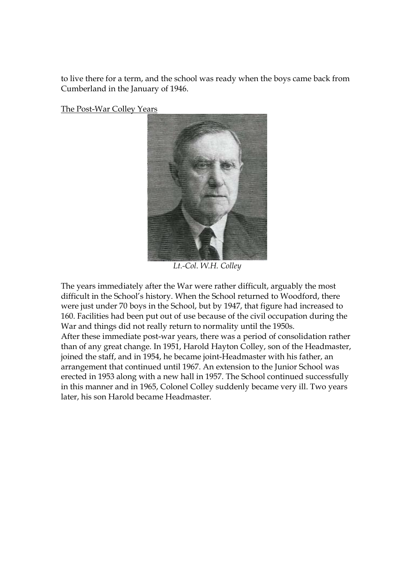to live there for a term, and the school was ready when the boys came back from Cumberland in the January of 1946.

The Post-War Colley Years



*Lt.-Col. W.H. Colley* 

The years immediately after the War were rather difficult, arguably the most difficult in the School's history. When the School returned to Woodford, there were just under 70 boys in the School, but by 1947, that figure had increased to 160. Facilities had been put out of use because of the civil occupation during the War and things did not really return to normality until the 1950s. After these immediate post-war years, there was a period of consolidation rather than of any great change. In 1951, Harold Hayton Colley, son of the Headmaster, joined the staff, and in 1954, he became joint-Headmaster with his father, an arrangement that continued until 1967. An extension to the Junior School was erected in 1953 along with a new hall in 1957. The School continued successfully in this manner and in 1965, Colonel Colley suddenly became very ill. Two years later, his son Harold became Headmaster.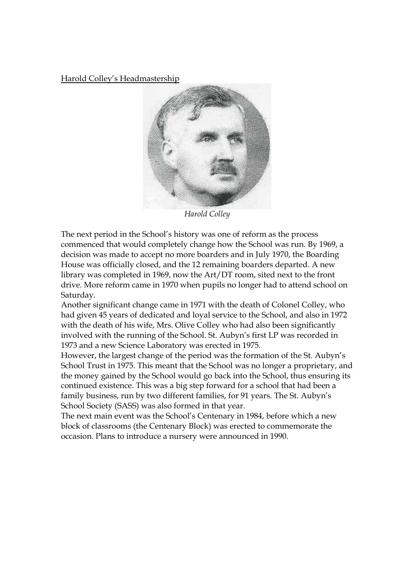Harold Colley's Headmastership



*Harold Colley* 

The next period in the School's history was one of reform as the process commenced that would completely change how the School was run. By 1969, a decision was made to accept no more boarders and in July 1970, the Boarding House was officially closed, and the 12 remaining boarders departed. A new library was completed in 1969, now the Art/DT room, sited next to the front drive. More reform came in 1970 when pupils no longer had to attend school on Saturday.

Another significant change came in 1971 with the death of Colonel Colley, who had given 45 years of dedicated and loyal service to the School, and also in 1972 with the death of his wife, Mrs. Olive Colley who had also been significantly involved with the running of the School. St. Aubyn's first LP was recorded in 1973 and a new Science Laboratory was erected in 1975.

However, the largest change of the period was the formation of the St. Aubyn's School Trust in 1975. This meant that the School was no longer a proprietary, and the money gained by the School would go back into the School, thus ensuring its continued existence. This was a big step forward for a school that had been a family business, run by two different families, for 91 years. The St. Aubyn's School Society (SASS) was also formed in that year.

The next main event was the School's Centenary in 1984, before which a new block of classrooms (the Centenary Block) was erected to commemorate the occasion. Plans to introduce a nursery were announced in 1990.